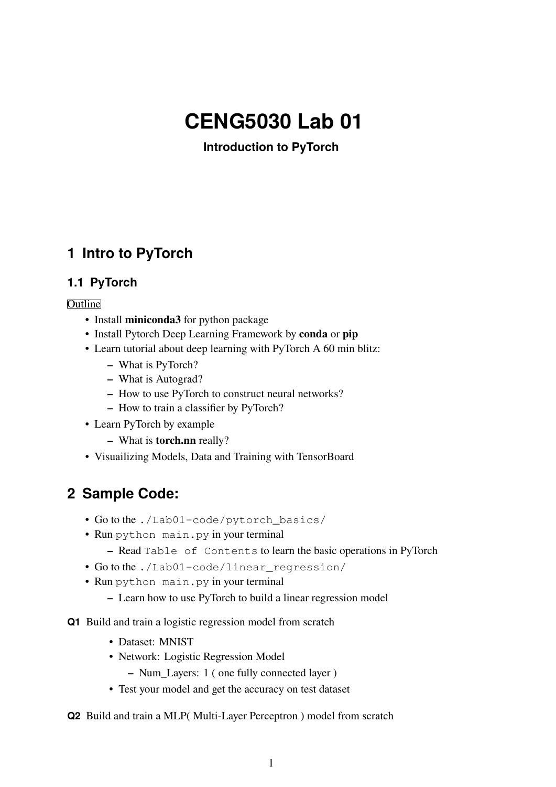# **CENG5030 Lab 01**

**Introduction to PyTorch**

### **1 Intro to PyTorch**

### **1.1 PyTorch**

#### **Outline**

- Install **miniconda3** for python package
- Install Pytorch Deep Learning Framework by **conda** or **pip**
- Learn tutorial about deep learning with PyTorch A 60 min blitz:
	- **–** What is PyTorch?
	- **–** What is Autograd?
	- **–** How to use PyTorch to construct neural networks?
	- **–** How to train a classifier by PyTorch?
- Learn PyTorch by example
	- **–** What is **torch.nn** really?
- Visuailizing Models, Data and Training with TensorBoard

## **2 Sample Code:**

- Go to the ./Lab01-code/pytorch\_basics/
- Run python main.py in your terminal
	- **–** Read Table of Contents to learn the basic operations in PyTorch
- Go to the ./Lab01-code/linear\_regression/
- Run python main.py in your terminal
	- **–** Learn how to use PyTorch to build a linear regression model
- **Q1** Build and train a logistic regression model from scratch
	- Dataset: MNIST
	- Network: Logistic Regression Model
		- **–** Num\_Layers: 1 ( one fully connected layer )
	- Test your model and get the accuracy on test dataset
- **Q2** Build and train a MLP( Multi-Layer Perceptron ) model from scratch